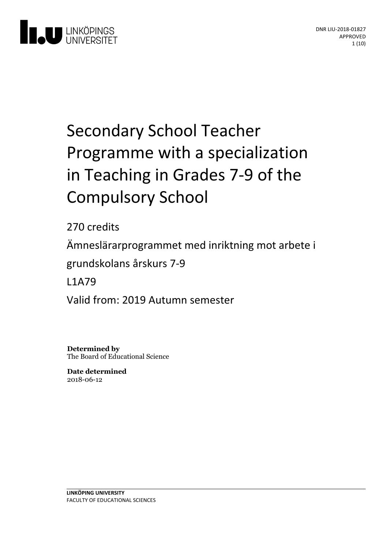

# Secondary School Teacher Programme with a specialization in Teaching in Grades 7-9 of the **Compulsory School**

270 credits Ämneslärarprogrammet med inriktning motarbete i grundskolansårskurs 7-9 L1A79

Valid from: 2019 Autumn semester

**Determined by** The Board of Educational Science

**Date determined** 2018-06-12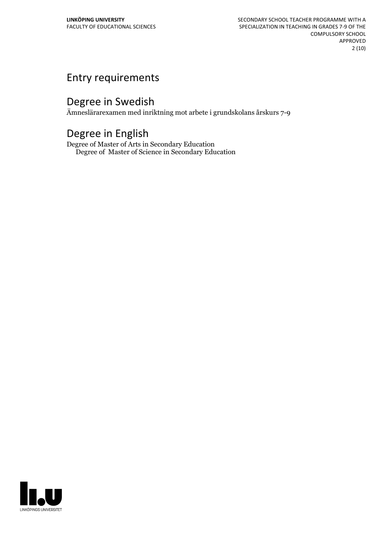# Entry requirements

# Degree in Swedish

Ämneslärarexamen med inriktning mot arbete i grundskolans årskurs 7-9

# Degree in English

Degree of Master of Arts in Secondary Education Degree of Master of Science in Secondary Education

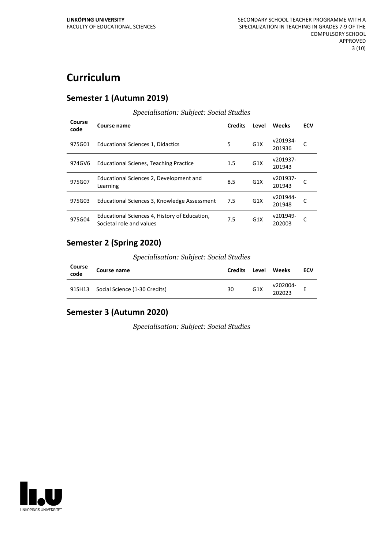# **Curriculum**

#### **Semester 1 (Autumn 2019)**

| Course<br>code | Course name                                                               | <b>Credits</b> | Level            | Weeks              | ECV |
|----------------|---------------------------------------------------------------------------|----------------|------------------|--------------------|-----|
| 975G01         | Educational Sciences 1, Didactics                                         | 5              | G <sub>1</sub> X | v201934-<br>201936 |     |
| 974GV6         | <b>Educational Scienes, Teaching Practice</b>                             | 1.5            | G <sub>1</sub> X | v201937-<br>201943 |     |
| 975G07         | Educational Sciences 2, Development and<br>Learning                       | 8.5            | G <sub>1</sub> X | v201937-<br>201943 |     |
| 975G03         | Educational Sciences 3, Knowledge Assessment                              | 7.5            | G <sub>1</sub> X | v201944-<br>201948 |     |
| 975G04         | Educational Sciences 4, History of Education,<br>Societal role and values | 7.5            | G <sub>1</sub> X | v201949-<br>202003 |     |

# *Specialisation: Subject: Social Studies*

#### **Semester 2 (Spring 2020)**

*Specialisation: Subject: Social Studies*

| Course<br>code | Course name                          | <b>Credits</b> | Level            | Weeks              | ECV |
|----------------|--------------------------------------|----------------|------------------|--------------------|-----|
|                | 91SH13 Social Science (1-30 Credits) | 30             | G <sub>1</sub> X | v202004-<br>202023 |     |

## **Semester 3 (Autumn 2020)**

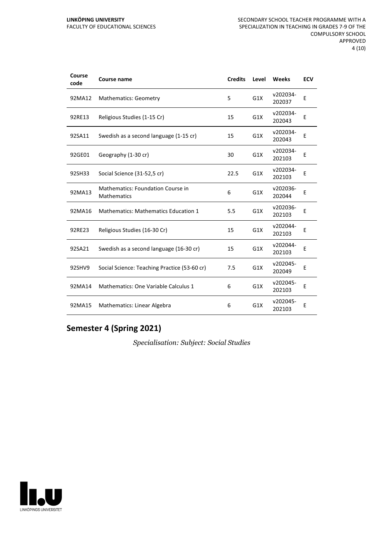| Course<br>code | Course name                                             | <b>Credits</b> | Level | Weeks              | <b>ECV</b> |
|----------------|---------------------------------------------------------|----------------|-------|--------------------|------------|
| 92MA12         | <b>Mathematics: Geometry</b>                            | 5              | G1X   | v202034-<br>202037 | E          |
| 92RE13         | Religious Studies (1-15 Cr)                             | 15             | G1X   | v202034-<br>202043 | E          |
| 92SA11         | Swedish as a second language (1-15 cr)                  | 15             | G1X   | v202034-<br>202043 | E          |
| 92GE01         | Geography (1-30 cr)                                     | 30             | G1X   | v202034-<br>202103 | Ε          |
| 92SH33         | Social Science (31-52,5 cr)                             | 22.5           | G1X   | v202034-<br>202103 | Е          |
| 92MA13         | Mathematics: Foundation Course in<br><b>Mathematics</b> | 6              | G1X   | v202036-<br>202044 | E          |
| 92MA16         | <b>Mathematics: Mathematics Education 1</b>             | 5.5            | G1X   | v202036-<br>202103 | E          |
| 92RE23         | Religious Studies (16-30 Cr)                            | 15             | G1X   | v202044-<br>202103 | E          |
| 92SA21         | Swedish as a second language (16-30 cr)                 | 15             | G1X   | v202044-<br>202103 | Ε          |
| 92SHV9         | Social Science: Teaching Practice (53-60 cr)            | 7.5            | G1X   | v202045-<br>202049 | E          |
| 92MA14         | Mathematics: One Variable Calculus 1                    | 6              | G1X   | v202045-<br>202103 | E          |
| 92MA15         | Mathematics: Linear Algebra                             | 6              | G1X   | v202045-<br>202103 | E          |

# **Semester 4 (Spring 2021)**

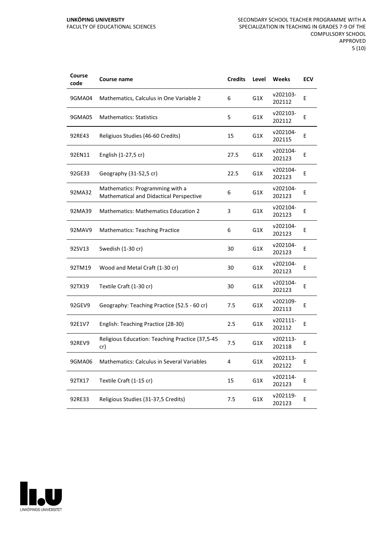| Course<br>code | Course name                                                                | <b>Credits</b> | Level | Weeks              | <b>ECV</b> |
|----------------|----------------------------------------------------------------------------|----------------|-------|--------------------|------------|
| 9GMA04         | Mathematics, Calculus in One Variable 2                                    | 6              | G1X   | v202103-<br>202112 | E          |
| 9GMA05         | <b>Mathematics: Statistics</b>                                             | 5              | G1X   | v202103-<br>202112 | E          |
| 92RE43         | Religiuos Studies (46-60 Credits)                                          | 15             | G1X   | v202104-<br>202115 | E          |
| 92EN11         | English (1-27,5 cr)                                                        | 27.5           | G1X   | v202104-<br>202123 | E          |
| 92GE33         | Geography (31-52,5 cr)                                                     | 22.5           | G1X   | v202104-<br>202123 | E          |
| 92MA32         | Mathematics: Programming with a<br>Mathematical and Didactical Perspective | 6              | G1X   | v202104-<br>202123 | E          |
| 92MA39         | <b>Mathematics: Mathematics Education 2</b>                                | 3              | G1X   | v202104-<br>202123 | E          |
| 92MAV9         | <b>Mathematics: Teaching Practice</b>                                      | 6              | G1X   | v202104-<br>202123 | Е          |
| 92SV13         | Swedish (1-30 cr)                                                          | 30             | G1X   | v202104-<br>202123 | E          |
| 92TM19         | Wood and Metal Craft (1-30 cr)                                             | 30             | G1X   | v202104-<br>202123 | E          |
| 92TX19         | Textile Craft (1-30 cr)                                                    | 30             | G1X   | v202104-<br>202123 | E          |
| 92GEV9         | Geography: Teaching Practice (52.5 - 60 cr)                                | 7.5            | G1X   | v202109-<br>202113 | E          |
| 92E1V7         | English: Teaching Practice (28-30)                                         | 2.5            | G1X   | v202111-<br>202112 | E          |
| 92REV9         | Religious Education: Teaching Practice (37,5-45<br>cr)                     | 7.5            | G1X   | v202113-<br>202118 | E          |
| 9GMA06         | <b>Mathematics: Calculus in Several Variables</b>                          | 4              | G1X   | v202113-<br>202122 | E          |
| 92TX17         | Textile Craft (1-15 cr)                                                    | 15             | G1X   | v202114-<br>202123 | E          |
| 92RE33         | Religious Studies (31-37,5 Credits)                                        | 7.5            | G1X   | v202119-<br>202123 | E          |

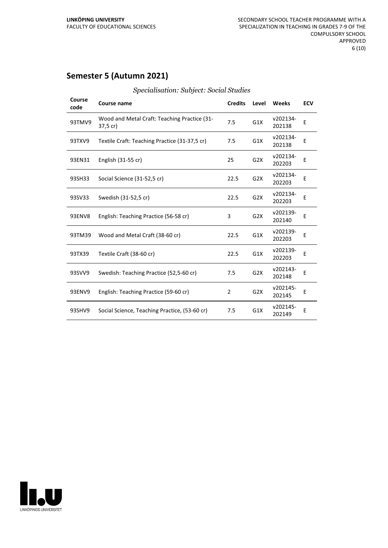## **Semester 5 (Autumn 2021)**

| Course<br>code | <b>Course name</b>                                       | <b>Credits</b> | Level            | Weeks              | <b>ECV</b> |
|----------------|----------------------------------------------------------|----------------|------------------|--------------------|------------|
| 93TMV9         | Wood and Metal Craft: Teaching Practice (31-<br>37,5 cr) | 7.5            | G1X              | v202134-<br>202138 | Ε          |
| 93TXV9         | Textile Craft: Teaching Practice (31-37,5 cr)            | 7.5            | G1X              | v202134-<br>202138 | E          |
| 93EN31         | English (31-55 cr)                                       | 25             | G <sub>2</sub> X | v202134-<br>202203 | E          |
| 93SH33         | Social Science (31-52,5 cr)                              | 22.5           | G2X              | v202134-<br>202203 | E          |
| 93SV33         | Swedish (31-52,5 cr)                                     | 22.5           | G2X              | v202134-<br>202203 | E          |
| 93ENV8         | English: Teaching Practice (56-58 cr)                    | 3              | G <sub>2</sub> X | v202139-<br>202140 | E          |
| 93TM39         | Wood and Metal Craft (38-60 cr)                          | 22.5           | G1X              | v202139-<br>202203 | E          |
| 93TX39         | Textile Craft (38-60 cr)                                 | 22.5           | G1X              | v202139-<br>202203 | E          |
| 93SVV9         | Swedish: Teaching Practice (52,5-60 cr)                  | 7.5            | G <sub>2</sub> X | v202143-<br>202148 | Ε          |
| 93ENV9         | English: Teaching Practice (59-60 cr)                    | $\overline{2}$ | G <sub>2</sub> X | v202145-<br>202145 | Е          |
| 93SHV9         | Social Science, Teaching Practice, (53-60 cr)            | 7.5            | G1X              | v202145-<br>202149 | E          |

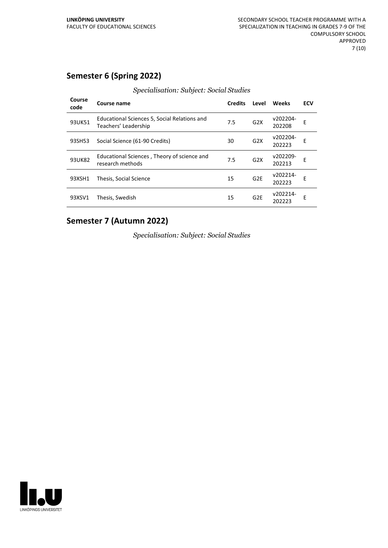## **Semester 6 (Spring 2022)**

| Course<br>code | Course name                                                          | <b>Credits</b> | Level           | Weeks              | <b>ECV</b> |
|----------------|----------------------------------------------------------------------|----------------|-----------------|--------------------|------------|
| 93UK51         | Educational Sciences 5, Social Relations and<br>Teachers' Leadership | 7.5            | G2X             | v202204-<br>202208 | E          |
| 93SH53         | Social Science (61-90 Credits)                                       | 30             | G2X             | v202204-<br>202223 | F          |
| 93UK82         | Educational Sciences, Theory of science and<br>research methods      | 7.5            | G2X             | v202209-<br>202213 | E          |
| 93XSH1         | Thesis, Social Science                                               | 15             | G <sub>2E</sub> | v202214-<br>202223 | F          |
| 93XSV1         | Thesis, Swedish                                                      | 15             | G <sub>2E</sub> | v202214-<br>202223 | E          |

#### *Specialisation: Subject: Social Studies*

## **Semester 7 (Autumn 2022)**

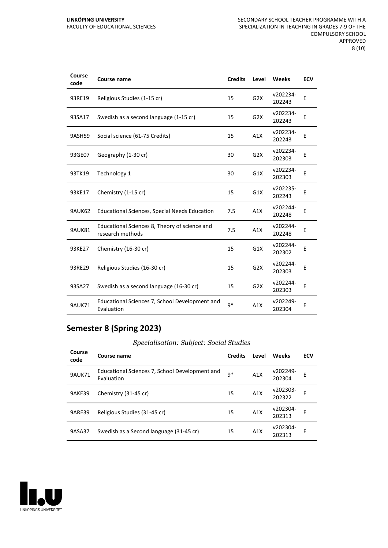| Course<br>code | <b>Course name</b>                                                | <b>Credits</b> | Level            | Weeks              | <b>ECV</b> |
|----------------|-------------------------------------------------------------------|----------------|------------------|--------------------|------------|
| 93RE19         | Religious Studies (1-15 cr)                                       | 15             | G <sub>2</sub> X | v202234-<br>202243 | E          |
| 93SA17         | Swedish as a second language (1-15 cr)                            | 15             | G <sub>2</sub> X | v202234-<br>202243 | E          |
| 9ASH59         | Social science (61-75 Credits)                                    | 15             | A1X              | v202234-<br>202243 | E          |
| 93GE07         | Geography (1-30 cr)                                               | 30             | G <sub>2</sub> X | v202234-<br>202303 | E          |
| 93TK19         | Technology 1                                                      | 30             | G1X              | v202234-<br>202303 | E          |
| 93KE17         | Chemistry (1-15 cr)                                               | 15             | G1X              | v202235-<br>202243 | E          |
| 9AUK62         | <b>Educational Sciences, Special Needs Education</b>              | 7.5            | A1X              | v202244-<br>202248 | E          |
| <b>9AUK81</b>  | Educational Sciences 8, Theory of science and<br>research methods | 7.5            | A1X              | v202244-<br>202248 | E          |
| 93KE27         | Chemistry (16-30 cr)                                              | 15             | G1X              | v202244-<br>202302 | E          |
| 93RE29         | Religious Studies (16-30 cr)                                      | 15             | G2X              | v202244-<br>202303 | E          |
| 93SA27         | Swedish as a second language (16-30 cr)                           | 15             | G <sub>2</sub> X | v202244-<br>202303 | E          |
| <b>9AUK71</b>  | Educational Sciences 7, School Development and<br>Evaluation      | $9*$           | A1X              | v202249-<br>202304 | E          |

# **Semester 8 (Spring 2023)**

*Specialisation: Subject: Social Studies*

| Course<br>code | Course name                                                  | <b>Credits</b> | Level | Weeks              | ECV |
|----------------|--------------------------------------------------------------|----------------|-------|--------------------|-----|
| <b>9AUK71</b>  | Educational Sciences 7, School Development and<br>Evaluation | $9*$           | A1X   | v202249-<br>202304 | E   |
| <b>9AKE39</b>  | Chemistry (31-45 cr)                                         | 15             | A1X   | v202303-<br>202322 | E   |
| <b>9ARE39</b>  | Religious Studies (31-45 cr)                                 | 15             | A1X   | v202304-<br>202313 | E   |
| 9ASA37         | Swedish as a Second language (31-45 cr)                      | 15             | A1X   | v202304-<br>202313 | E   |

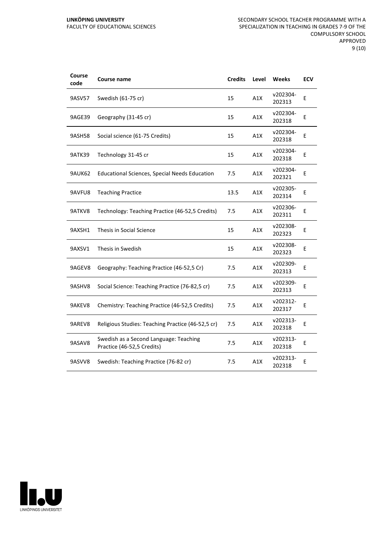| Course<br>code | <b>Course name</b>                                                   | <b>Credits</b> | Level | <b>Weeks</b>       | <b>ECV</b> |
|----------------|----------------------------------------------------------------------|----------------|-------|--------------------|------------|
| 9ASV57         | Swedish (61-75 cr)                                                   | 15             | A1X   | v202304-<br>202313 | Ε          |
| 9AGE39         | Geography (31-45 cr)                                                 | 15             | A1X   | v202304-<br>202318 | E          |
| 9ASH58         | Social science (61-75 Credits)                                       | 15             | A1X   | v202304-<br>202318 | E          |
| <b>9ATK39</b>  | Technology 31-45 cr                                                  | 15             | A1X   | v202304-<br>202318 | Ε          |
| 9AUK62         | <b>Educational Sciences, Special Needs Education</b>                 | 7.5            | A1X   | v202304-<br>202321 | Ε          |
| 9AVFU8         | <b>Teaching Practice</b>                                             | 13.5           | A1X   | v202305-<br>202314 | E          |
| 9ATKV8         | Technology: Teaching Practice (46-52,5 Credits)                      | 7.5            | A1X   | v202306-<br>202311 | E          |
| 9AXSH1         | Thesis in Social Science                                             | 15             | A1X   | v202308-<br>202323 | Ε          |
| 9AXSV1         | Thesis in Swedish                                                    | 15             | A1X   | v202308-<br>202323 | E          |
| 9AGEV8         | Geography: Teaching Practice (46-52,5 Cr)                            | 7.5            | A1X   | v202309-<br>202313 | E          |
| 9ASHV8         | Social Science: Teaching Practice (76-82,5 cr)                       | 7.5            | A1X   | v202309-<br>202313 | Ε          |
| 9AKEV8         | Chemistry: Teaching Practice (46-52,5 Credits)                       | 7.5            | A1X   | v202312-<br>202317 | Ε          |
| 9AREV8         | Religious Studies: Teaching Practice (46-52,5 cr)                    | 7.5            | A1X   | v202313-<br>202318 | E          |
| 9ASAV8         | Swedish as a Second Language: Teaching<br>Practice (46-52,5 Credits) | 7.5            | A1X   | v202313-<br>202318 | E          |
| 9ASVV8         | Swedish: Teaching Practice (76-82 cr)                                | 7.5            | A1X   | v202313-<br>202318 | E          |